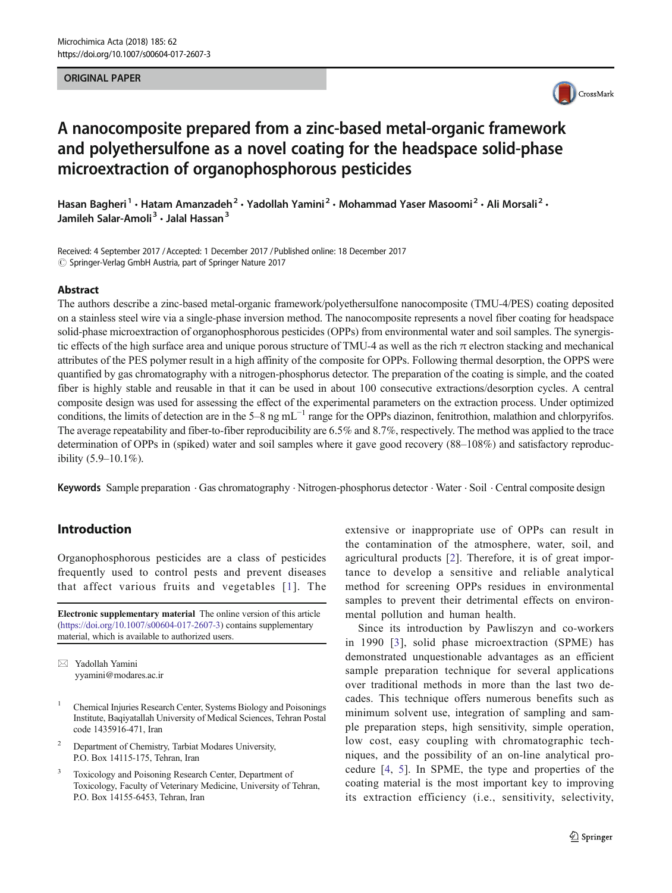#### ORIGINAL PAPER



# A nanocomposite prepared from a zinc-based metal-organic framework and polyethersulfone as a novel coating for the headspace solid-phase microextraction of organophosphorous pesticides

Hasan Bagheri<sup>1</sup> • Hatam Amanzadeh<sup>2</sup> • Yadollah Yamini<sup>2</sup> • Mohammad Yaser Masoomi<sup>2</sup> • Ali Morsali<sup>2</sup> • Jamileh Salar-Amoli<sup>3</sup> · Jalal Hassan<sup>3</sup>

Received: 4 September 2017 /Accepted: 1 December 2017 /Published online: 18 December 2017  $\circled{c}$  Springer-Verlag GmbH Austria, part of Springer Nature 2017

#### **Abstract**

The authors describe a zinc-based metal-organic framework/polyethersulfone nanocomposite (TMU-4/PES) coating deposited on a stainless steel wire via a single-phase inversion method. The nanocomposite represents a novel fiber coating for headspace solid-phase microextraction of organophosphorous pesticides (OPPs) from environmental water and soil samples. The synergistic effects of the high surface area and unique porous structure of TMU-4 as well as the rich  $\pi$  electron stacking and mechanical attributes of the PES polymer result in a high affinity of the composite for OPPs. Following thermal desorption, the OPPS were quantified by gas chromatography with a nitrogen-phosphorus detector. The preparation of the coating is simple, and the coated fiber is highly stable and reusable in that it can be used in about 100 consecutive extractions/desorption cycles. A central composite design was used for assessing the effect of the experimental parameters on the extraction process. Under optimized conditions, the limits of detection are in the 5–8 ng mL<sup> $-1$ </sup> range for the OPPs diazinon, fenitrothion, malathion and chlorpyrifos. The average repeatability and fiber-to-fiber reproducibility are 6.5% and 8.7%, respectively. The method was applied to the trace determination of OPPs in (spiked) water and soil samples where it gave good recovery (88–108%) and satisfactory reproducibility (5.9–10.1%).

Keywords Sample preparation . Gas chromatography . Nitrogen-phosphorus detector . Water . Soil . Central composite design

# Introduction

Organophosphorous pesticides are a class of pesticides frequently used to control pests and prevent diseases that affect various fruits and vegetables [[1\]](#page-6-0). The

Electronic supplementary material The online version of this article (<https://doi.org/10.1007/s00604-017-2607-3>) contains supplementary material, which is available to authorized users.

 $\boxtimes$  Yadollah Yamini [yyamini@modares.ac.ir](mailto:yyamini@modares.ac.ir)

- <sup>1</sup> Chemical Injuries Research Center, Systems Biology and Poisonings Institute, Baqiyatallah University of Medical Sciences, Tehran Postal code 1435916-471, Iran
- <sup>2</sup> Department of Chemistry, Tarbiat Modares University, P.O. Box 14115-175, Tehran, Iran
- <sup>3</sup> Toxicology and Poisoning Research Center, Department of Toxicology, Faculty of Veterinary Medicine, University of Tehran, P.O. Box 14155-6453, Tehran, Iran

extensive or inappropriate use of OPPs can result in the contamination of the atmosphere, water, soil, and agricultural products [[2\]](#page-6-0). Therefore, it is of great importance to develop a sensitive and reliable analytical method for screening OPPs residues in environmental samples to prevent their detrimental effects on environmental pollution and human health.

Since its introduction by Pawliszyn and co-workers in 1990 [\[3\]](#page-6-0), solid phase microextraction (SPME) has demonstrated unquestionable advantages as an efficient sample preparation technique for several applications over traditional methods in more than the last two decades. This technique offers numerous benefits such as minimum solvent use, integration of sampling and sample preparation steps, high sensitivity, simple operation, low cost, easy coupling with chromatographic techniques, and the possibility of an on-line analytical procedure [[4](#page-6-0), [5](#page-6-0)]. In SPME, the type and properties of the coating material is the most important key to improving its extraction efficiency (i.e., sensitivity, selectivity,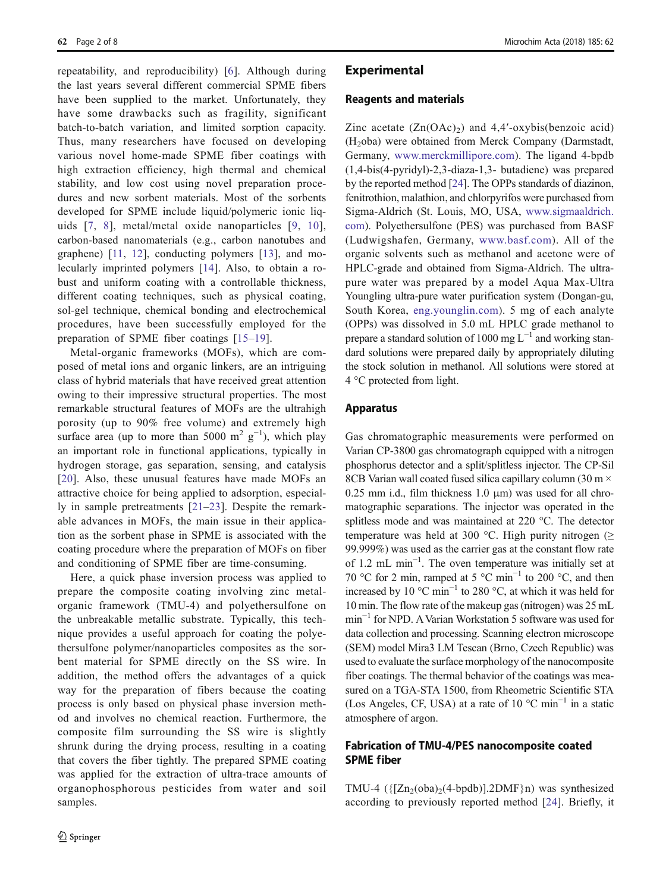repeatability, and reproducibility) [\[6](#page-6-0)]. Although during the last years several different commercial SPME fibers have been supplied to the market. Unfortunately, they have some drawbacks such as fragility, significant batch-to-batch variation, and limited sorption capacity. Thus, many researchers have focused on developing various novel home-made SPME fiber coatings with high extraction efficiency, high thermal and chemical stability, and low cost using novel preparation procedures and new sorbent materials. Most of the sorbents developed for SPME include liquid/polymeric ionic liquids [[7](#page-6-0), [8\]](#page-6-0), metal/metal oxide nanoparticles [[9](#page-6-0), [10](#page-6-0)], carbon-based nanomaterials (e.g., carbon nanotubes and graphene) [\[11](#page-6-0), [12\]](#page-6-0), conducting polymers [[13](#page-6-0)], and molecularly imprinted polymers [[14\]](#page-6-0). Also, to obtain a robust and uniform coating with a controllable thickness, different coating techniques, such as physical coating, sol-gel technique, chemical bonding and electrochemical procedures, have been successfully employed for the preparation of SPME fiber coatings [\[15](#page-6-0)–[19\]](#page-6-0).

Metal-organic frameworks (MOFs), which are composed of metal ions and organic linkers, are an intriguing class of hybrid materials that have received great attention owing to their impressive structural properties. The most remarkable structural features of MOFs are the ultrahigh porosity (up to 90% free volume) and extremely high surface area (up to more than 5000 m<sup>2</sup> g<sup>-1</sup>), which play an important role in functional applications, typically in hydrogen storage, gas separation, sensing, and catalysis [\[20\]](#page-6-0). Also, these unusual features have made MOFs an attractive choice for being applied to adsorption, especially in sample pretreatments [\[21](#page-6-0)–[23\]](#page-6-0). Despite the remarkable advances in MOFs, the main issue in their application as the sorbent phase in SPME is associated with the coating procedure where the preparation of MOFs on fiber and conditioning of SPME fiber are time-consuming.

Here, a quick phase inversion process was applied to prepare the composite coating involving zinc metalorganic framework (TMU-4) and polyethersulfone on the unbreakable metallic substrate. Typically, this technique provides a useful approach for coating the polyethersulfone polymer/nanoparticles composites as the sorbent material for SPME directly on the SS wire. In addition, the method offers the advantages of a quick way for the preparation of fibers because the coating process is only based on physical phase inversion method and involves no chemical reaction. Furthermore, the composite film surrounding the SS wire is slightly shrunk during the drying process, resulting in a coating that covers the fiber tightly. The prepared SPME coating was applied for the extraction of ultra-trace amounts of organophosphorous pesticides from water and soil samples.

## **Experimental**

#### Reagents and materials

Zinc acetate  $(Zn(OAc))$  and 4,4'-oxybis(benzoic acid) (H2oba) were obtained from Merck Company (Darmstadt, Germany, [www.merckmillipore.com](http://www.merckmillipore.com)). The ligand 4-bpdb (1,4-bis(4-pyridyl)-2,3-diaza-1,3- butadiene) was prepared by the reported method [[24\]](#page-6-0). The OPPs standards of diazinon, fenitrothion, malathion, and chlorpyrifos were purchased from Sigma-Aldrich (St. Louis, MO, USA, [www.sigmaaldrich.](http://www.sigmaaldrich.com) [com](http://www.sigmaaldrich.com)). Polyethersulfone (PES) was purchased from BASF (Ludwigshafen, Germany, [www.basf.com](http://www.basf.com)). All of the organic solvents such as methanol and acetone were of HPLC-grade and obtained from Sigma-Aldrich. The ultrapure water was prepared by a model Aqua Max-Ultra Youngling ultra-pure water purification system (Dongan-gu, South Korea, [eng.younglin.com](http://eng.younglin.com)). 5 mg of each analyte (OPPs) was dissolved in 5.0 mL HPLC grade methanol to prepare a standard solution of 1000 mg  $L^{-1}$  and working standard solutions were prepared daily by appropriately diluting the stock solution in methanol. All solutions were stored at 4 °C protected from light.

## Apparatus

Gas chromatographic measurements were performed on Varian CP-3800 gas chromatograph equipped with a nitrogen phosphorus detector and a split/splitless injector. The CP-Sil 8CB Varian wall coated fused silica capillary column (30 m ×  $0.25$  mm i.d., film thickness 1.0  $\mu$ m) was used for all chromatographic separations. The injector was operated in the splitless mode and was maintained at 220 °C. The detector temperature was held at 300 °C. High purity nitrogen ( $\geq$ 99.999%) was used as the carrier gas at the constant flow rate of 1.2 mL min−<sup>1</sup> . The oven temperature was initially set at 70 °C for 2 min, ramped at 5 °C min<sup>-1</sup> to 200 °C, and then increased by 10 °C min−<sup>1</sup> to 280 °C, at which it was held for 10 min. The flow rate of the makeup gas (nitrogen) was 25 mL min−<sup>1</sup> for NPD. AVarian Workstation 5 software was used for data collection and processing. Scanning electron microscope (SEM) model Mira3 LM Tescan (Brno, Czech Republic) was used to evaluate the surface morphology of the nanocomposite fiber coatings. The thermal behavior of the coatings was measured on a TGA-STA 1500, from Rheometric Scientific STA (Los Angeles, CF, USA) at a rate of 10  $^{\circ}$ C min<sup>-1</sup> in a static atmosphere of argon.

## Fabrication of TMU-4/PES nanocomposite coated SPME fiber

TMU-4  $({[Zn_2(oba)_2(4-bpdb)]}.2DMF\}n)$  was synthesized according to previously reported method [[24](#page-6-0)]. Briefly, it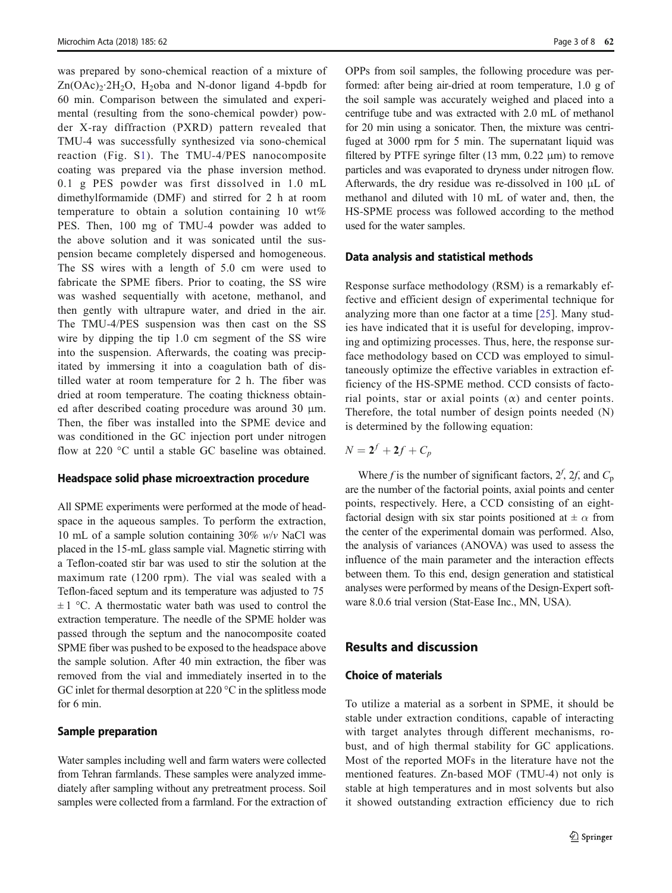was prepared by sono-chemical reaction of a mixture of  $Zn(OAc)_{2}$ <sup>2</sup>H<sub>2</sub>O, H<sub>2</sub>oba and N-donor ligand 4-bpdb for 60 min. Comparison between the simulated and experimental (resulting from the sono-chemical powder) powder X-ray diffraction (PXRD) pattern revealed that TMU-4 was successfully synthesized via sono-chemical reaction (Fig. S1). The TMU-4/PES nanocomposite coating was prepared via the phase inversion method. 0.1 g PES powder was first dissolved in 1.0 mL dimethylformamide (DMF) and stirred for 2 h at room temperature to obtain a solution containing 10 wt% PES. Then, 100 mg of TMU-4 powder was added to the above solution and it was sonicated until the suspension became completely dispersed and homogeneous. The SS wires with a length of 5.0 cm were used to fabricate the SPME fibers. Prior to coating, the SS wire was washed sequentially with acetone, methanol, and then gently with ultrapure water, and dried in the air. The TMU-4/PES suspension was then cast on the SS wire by dipping the tip 1.0 cm segment of the SS wire into the suspension. Afterwards, the coating was precipitated by immersing it into a coagulation bath of distilled water at room temperature for 2 h. The fiber was dried at room temperature. The coating thickness obtained after described coating procedure was around 30 μm. Then, the fiber was installed into the SPME device and was conditioned in the GC injection port under nitrogen flow at 220 °C until a stable GC baseline was obtained.

#### Headspace solid phase microextraction procedure

All SPME experiments were performed at the mode of headspace in the aqueous samples. To perform the extraction, 10 mL of a sample solution containing  $30\%$  w/v NaCl was placed in the 15-mL glass sample vial. Magnetic stirring with a Teflon-coated stir bar was used to stir the solution at the maximum rate (1200 rpm). The vial was sealed with a Teflon-faced septum and its temperature was adjusted to 75  $\pm$  1 °C. A thermostatic water bath was used to control the extraction temperature. The needle of the SPME holder was passed through the septum and the nanocomposite coated SPME fiber was pushed to be exposed to the headspace above the sample solution. After 40 min extraction, the fiber was removed from the vial and immediately inserted in to the GC inlet for thermal desorption at 220 °C in the splitless mode for 6 min.

#### Sample preparation

Water samples including well and farm waters were collected from Tehran farmlands. These samples were analyzed immediately after sampling without any pretreatment process. Soil samples were collected from a farmland. For the extraction of OPPs from soil samples, the following procedure was performed: after being air-dried at room temperature, 1.0 g of the soil sample was accurately weighed and placed into a centrifuge tube and was extracted with 2.0 mL of methanol for 20 min using a sonicator. Then, the mixture was centrifuged at 3000 rpm for 5 min. The supernatant liquid was filtered by PTFE syringe filter  $(13 \text{ mm}, 0.22 \text{ }\mu\text{m})$  to remove particles and was evaporated to dryness under nitrogen flow. Afterwards, the dry residue was re-dissolved in 100 μL of methanol and diluted with 10 mL of water and, then, the HS-SPME process was followed according to the method used for the water samples.

#### Data analysis and statistical methods

Response surface methodology (RSM) is a remarkably effective and efficient design of experimental technique for analyzing more than one factor at a time [\[25\]](#page-6-0). Many studies have indicated that it is useful for developing, improving and optimizing processes. Thus, here, the response surface methodology based on CCD was employed to simultaneously optimize the effective variables in extraction efficiency of the HS-SPME method. CCD consists of factorial points, star or axial points  $(\alpha)$  and center points. Therefore, the total number of design points needed (N) is determined by the following equation:

$$
N=2^f+2f+C_p
$$

Where f is the number of significant factors,  $2^f$ ,  $2f$ , and  $C_p$ are the number of the factorial points, axial points and center points, respectively. Here, a CCD consisting of an eightfactorial design with six star points positioned at  $\pm \alpha$  from the center of the experimental domain was performed. Also, the analysis of variances (ANOVA) was used to assess the influence of the main parameter and the interaction effects between them. To this end, design generation and statistical analyses were performed by means of the Design-Expert software 8.0.6 trial version (Stat-Ease Inc., MN, USA).

# Results and discussion

### Choice of materials

To utilize a material as a sorbent in SPME, it should be stable under extraction conditions, capable of interacting with target analytes through different mechanisms, robust, and of high thermal stability for GC applications. Most of the reported MOFs in the literature have not the mentioned features. Zn-based MOF (TMU-4) not only is stable at high temperatures and in most solvents but also it showed outstanding extraction efficiency due to rich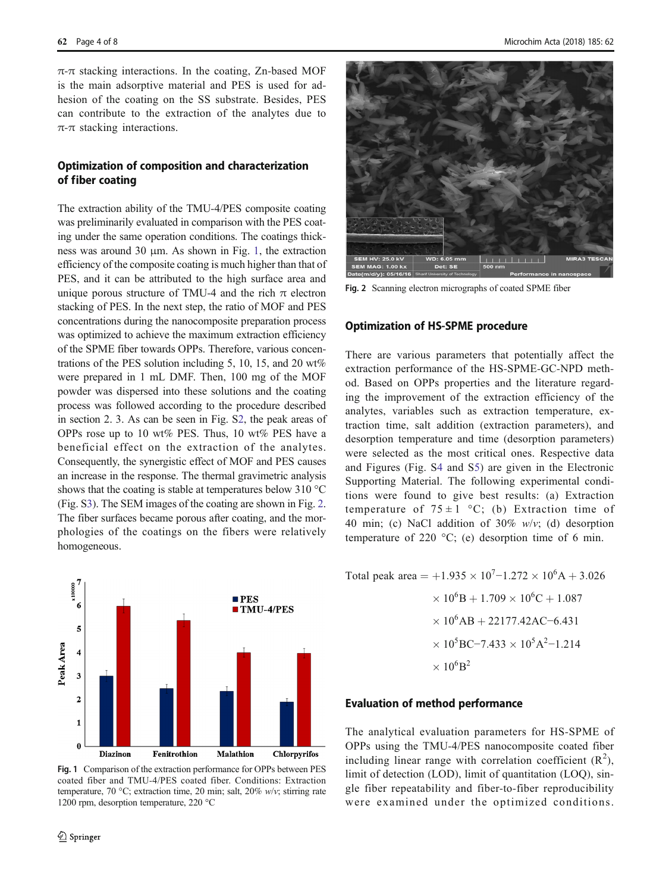$\pi$ - $\pi$  stacking interactions. In the coating, Zn-based MOF is the main adsorptive material and PES is used for adhesion of the coating on the SS substrate. Besides, PES can contribute to the extraction of the analytes due to π-π stacking interactions.

## Optimization of composition and characterization of fiber coating

The extraction ability of the TMU-4/PES composite coating was preliminarily evaluated in comparison with the PES coating under the same operation conditions. The coatings thickness was around 30 μm. As shown in Fig. 1, the extraction efficiency of the composite coating is much higher than that of PES, and it can be attributed to the high surface area and unique porous structure of TMU-4 and the rich  $\pi$  electron stacking of PES. In the next step, the ratio of MOF and PES concentrations during the nanocomposite preparation process was optimized to achieve the maximum extraction efficiency of the SPME fiber towards OPPs. Therefore, various concentrations of the PES solution including 5, 10, 15, and 20 wt% were prepared in 1 mL DMF. Then, 100 mg of the MOF powder was dispersed into these solutions and the coating process was followed according to the procedure described in section 2. 3. As can be seen in Fig. S2, the peak areas of OPPs rose up to 10 wt% PES. Thus, 10 wt% PES have a beneficial effect on the extraction of the analytes. Consequently, the synergistic effect of MOF and PES causes an increase in the response. The thermal gravimetric analysis shows that the coating is stable at temperatures below 310 °C (Fig. S3). The SEM images of the coating are shown in Fig. 2. The fiber surfaces became porous after coating, and the morphologies of the coatings on the fibers were relatively homogeneous.



Fig. 1 Comparison of the extraction performance for OPPs between PES coated fiber and TMU-4/PES coated fiber. Conditions: Extraction temperature, 70 °C; extraction time, 20 min; salt, 20%  $w/v$ ; stirring rate 1200 rpm, desorption temperature, 220 °C



Fig. 2 Scanning electron micrographs of coated SPME fiber

#### Optimization of HS-SPME procedure

There are various parameters that potentially affect the extraction performance of the HS-SPME-GC-NPD method. Based on OPPs properties and the literature regarding the improvement of the extraction efficiency of the analytes, variables such as extraction temperature, extraction time, salt addition (extraction parameters), and desorption temperature and time (desorption parameters) were selected as the most critical ones. Respective data and Figures (Fig. S4 and S5) are given in the Electronic Supporting Material. The following experimental conditions were found to give best results: (a) Extraction temperature of  $75 \pm 1$  °C; (b) Extraction time of 40 min; (c) NaCl addition of 30% w/v; (d) desorption temperature of 220  $^{\circ}$ C; (e) desorption time of 6 min.

Total peak area =  $+1.935 \times 10^7 - 1.272 \times 10^6$ A + 3.026  $\times 10^6$ B + 1.709  $\times 10^6$ C + 1.087  $\times 10^6$ AB + 22177.42AC−6.431  $\times 10^5$ BC-7.433  $\times 10^5$ A<sup>2</sup>-1.214  $\times 10^6 B^2$ 

#### Evaluation of method performance

The analytical evaluation parameters for HS-SPME of OPPs using the TMU-4/PES nanocomposite coated fiber including linear range with correlation coefficient  $(R^2)$ , limit of detection (LOD), limit of quantitation (LOQ), single fiber repeatability and fiber-to-fiber reproducibility were examined under the optimized conditions.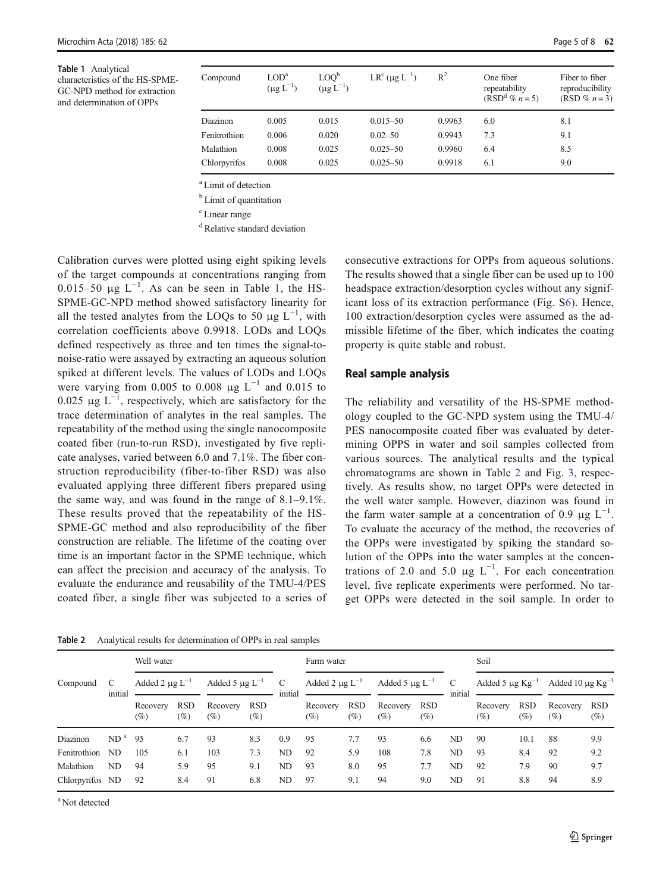<span id="page-4-0"></span>Table 1 Analytical characteristics of the HS-SPME-GC-NPD method for extraction and determination of OPPs

| Compound     | $\rm{LOD}^a$<br>$(\mu g L^{-1})$ | $\text{LOO}^{\text{b}}$<br>$(\mu g L^{-1})$ | $LR^{c}$ (µg $L^{-1}$ ) | $R^2$  | One fiber<br>repeatability<br>$(RSDd % n=5)$ | Fiber to fiber<br>reproducibility<br>(RSD % $n = 3$ ) |
|--------------|----------------------------------|---------------------------------------------|-------------------------|--------|----------------------------------------------|-------------------------------------------------------|
| Diazinon     | 0.005                            | 0.015                                       | $0.015 - 50$            | 0.9963 | 6.0                                          | 8.1                                                   |
| Fenitrothion | 0.006                            | 0.020                                       | $0.02 - 50$             | 0.9943 | 7.3                                          | 9.1                                                   |
| Malathion    | 0.008                            | 0.025                                       | $0.025 - 50$            | 0.9960 | 6.4                                          | 8.5                                                   |
| Chlorpyrifos | 0.008                            | 0.025                                       | $0.025 - 50$            | 0.9918 | 6.1                                          | 9.0                                                   |

a Limit of detection

<sup>b</sup> Limit of quantitation

<sup>c</sup> Linear range

<sup>d</sup> Relative standard deviation

Calibration curves were plotted using eight spiking levels of the target compounds at concentrations ranging from 0.015–50  $\mu$ g L<sup>-1</sup>. As can be seen in Table 1, the HS-SPME-GC-NPD method showed satisfactory linearity for all the tested analytes from the LOQs to 50  $\mu$ g L<sup>-1</sup>, with correlation coefficients above 0.9918. LODs and LOQs defined respectively as three and ten times the signal-tonoise-ratio were assayed by extracting an aqueous solution spiked at different levels. The values of LODs and LOQs were varying from 0.005 to 0.008  $\mu$ g L<sup>-1</sup> and 0.015 to 0.025  $\mu$ g L<sup>-1</sup>, respectively, which are satisfactory for the trace determination of analytes in the real samples. The repeatability of the method using the single nanocomposite coated fiber (run-to-run RSD), investigated by five replicate analyses, varied between 6.0 and 7.1%. The fiber construction reproducibility (fiber-to-fiber RSD) was also evaluated applying three different fibers prepared using the same way, and was found in the range of 8.1–9.1%. These results proved that the repeatability of the HS-SPME-GC method and also reproducibility of the fiber construction are reliable. The lifetime of the coating over time is an important factor in the SPME technique, which can affect the precision and accuracy of the analysis. To evaluate the endurance and reusability of the TMU-4/PES coated fiber, a single fiber was subjected to a series of

consecutive extractions for OPPs from aqueous solutions. The results showed that a single fiber can be used up to 100 headspace extraction/desorption cycles without any significant loss of its extraction performance (Fig. S6). Hence, 100 extraction/desorption cycles were assumed as the admissible lifetime of the fiber, which indicates the coating property is quite stable and robust.

#### Real sample analysis

The reliability and versatility of the HS-SPME methodology coupled to the GC-NPD system using the TMU-4/ PES nanocomposite coated fiber was evaluated by determining OPPS in water and soil samples collected from various sources. The analytical results and the typical chromatograms are shown in Table 2 and Fig. [3,](#page-5-0) respectively. As results show, no target OPPs were detected in the well water sample. However, diazinon was found in the farm water sample at a concentration of 0.9  $\mu$ g L<sup>-1</sup>. To evaluate the accuracy of the method, the recoveries of the OPPs were investigated by spiking the standard solution of the OPPs into the water samples at the concentrations of 2.0 and 5.0  $\mu$ g L<sup>-1</sup>. For each concentration level, five replicate experiments were performed. No target OPPs were detected in the soil sample. In order to

Well water Farm water Soil Compound C initial Added 2  $\mu$ g L<sup>-1</sup> Added 5  $\mu$ g L<sup>-1</sup> C initial Added 2  $\mu$ g L<sup>-1</sup> Added 5  $\mu$ g L<sup>-1</sup> C initial Added 5  $\mu$ g Kg<sup>-1</sup> Added 10  $\mu$ g Kg<sup>-1</sup> Recovery  $(\%$ RSD (%) Recovery  $(%$ RSD (%) Recovery (%) RSD (%) Recovery  $(\%$ RSD  $(\%)$ Recovery  $(%)$ RSD (%) Recovery  $(%)$ Diazinon ND<sup>a</sup> 95 6.7 93 8.3 0.9 95 7.7 93 6.6 ND 90 10.1 88 9.9 Fenitrothion ND 105 6.1 103 7.3 ND 92 5.9 108 7.8 ND 93 8.4 92 9.2 Malathion ND 94 5.9 95 9.1 ND 93 8.0 95 7.7 ND 92 7.9 90 9.7

Chlorpyrifos ND 92 8.4 91 6.8 ND 97 9.1 94 9.0 ND 91 8.8 94 8.9

Table 2 Analytical results for determination of OPPs in real samples

a Not detected

RSD (%)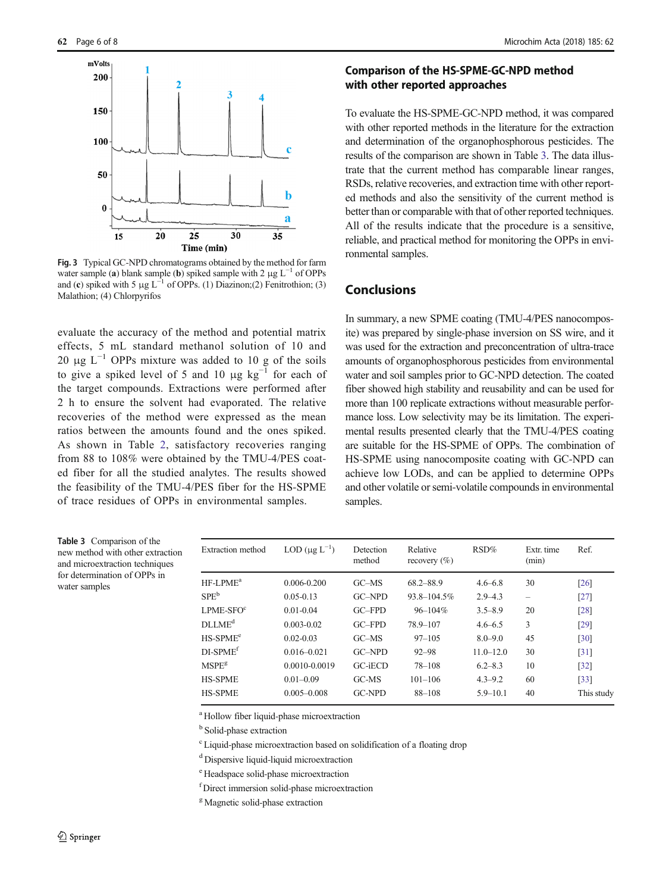<span id="page-5-0"></span>

Fig. 3 Typical GC-NPD chromatograms obtained by the method for farm water sample (a) blank sample (b) spiked sample with 2  $\mu$ g L<sup>-1</sup> of OPPs and (c) spiked with 5  $\mu$ g L<sup>-1</sup> of OPPs. (1) Diazinon;(2) Fenitrothion; (3) Malathion; (4) Chlorpyrifos

evaluate the accuracy of the method and potential matrix effects, 5 mL standard methanol solution of 10 and 20 μg  $L^{-1}$  OPPs mixture was added to 10 g of the soils to give a spiked level of 5 and 10  $\mu$ g kg<sup>-1</sup> for each of the target compounds. Extractions were performed after 2 h to ensure the solvent had evaporated. The relative recoveries of the method were expressed as the mean ratios between the amounts found and the ones spiked. As shown in Table [2](#page-4-0), satisfactory recoveries ranging from 88 to 108% were obtained by the TMU-4/PES coated fiber for all the studied analytes. The results showed the feasibility of the TMU-4/PES fiber for the HS-SPME of trace residues of OPPs in environmental samples.

## Comparison of the HS-SPME-GC-NPD method with other reported approaches

To evaluate the HS-SPME-GC-NPD method, it was compared with other reported methods in the literature for the extraction and determination of the organophosphorous pesticides. The results of the comparison are shown in Table 3. The data illustrate that the current method has comparable linear ranges, RSDs, relative recoveries, and extraction time with other reported methods and also the sensitivity of the current method is better than or comparable with that of other reported techniques. All of the results indicate that the procedure is a sensitive, reliable, and practical method for monitoring the OPPs in environmental samples.

# Conclusions

In summary, a new SPME coating (TMU-4/PES nanocomposite) was prepared by single-phase inversion on SS wire, and it was used for the extraction and preconcentration of ultra-trace amounts of organophosphorous pesticides from environmental water and soil samples prior to GC-NPD detection. The coated fiber showed high stability and reusability and can be used for more than 100 replicate extractions without measurable performance loss. Low selectivity may be its limitation. The experimental results presented clearly that the TMU-4/PES coating are suitable for the HS-SPME of OPPs. The combination of HS-SPME using nanocomposite coating with GC-NPD can achieve low LODs, and can be applied to determine OPPs and other volatile or semi-volatile compounds in environmental samples.

Table 3 Comparison of the new method with other extraction and microextraction techniques for determination of OPPs in water samples

| Extraction method  | LOD $(\mu g L^{-1})$ | Detection<br>method | Relative<br>recovery $(\% )$ | RSD%          | Extr. time<br>(min) | Ref.               |
|--------------------|----------------------|---------------------|------------------------------|---------------|---------------------|--------------------|
| $HF-I.PMEa$        | $0.006 - 0.200$      | GCMS                | 68.2-88.9                    | $4.6 - 6.8$   | 30                  | [26]               |
| SPE <sup>b</sup>   | $0.05 - 0.13$        | $G$ $NPD$           | $93.8 - 104.5\%$             | $2.9 - 4.3$   | -                   | [27]               |
| $L$ PME-SFO $c$    | $0.01 - 0.04$        | $G$ $F$ $PD$        | $96 - 104\%$                 | $3.5 - 8.9$   | 20                  | [28]               |
| DLIME <sup>d</sup> | $0.003 - 0.02$       | $G$ $F$ $PD$        | 78.9-107                     | $4.6 - 6.5$   | 3                   | [29]               |
| $HS-SPMEe$         | $0.02 - 0.03$        | GCMS                | $97 - 105$                   | $8.0 - 9.0$   | 45                  | [30]               |
| $DI-SPMEf$         | $0.016 - 0.021$      | $G$ $NPD$           | $92 - 98$                    | $11.0 - 12.0$ | 30                  | $\lceil 31 \rceil$ |
| MSPE <sup>g</sup>  | 0.0010-0.0019        | GC-iECD             | 78-108                       | $6.2 - 8.3$   | 10                  | $[32]$             |
| <b>HS-SPME</b>     | $0.01 - 0.09$        | GC-MS               | $101 - 106$                  | $4.3 - 9.2$   | 60                  | $[33]$             |
| <b>HS-SPME</b>     | $0.005 - 0.008$      | <b>GC-NPD</b>       | 88-108                       | $5.9 - 10.1$  | 40                  | This study         |

<sup>a</sup> Hollow fiber liquid-phase microextraction

<sup>b</sup> Solid-phase extraction

<sup>c</sup> Liquid-phase microextraction based on solidification of a floating drop

<sup>d</sup> Dispersive liquid-liquid microextraction

e Headspace solid-phase microextraction

f Direct immersion solid-phase microextraction

<sup>g</sup> Magnetic solid-phase extraction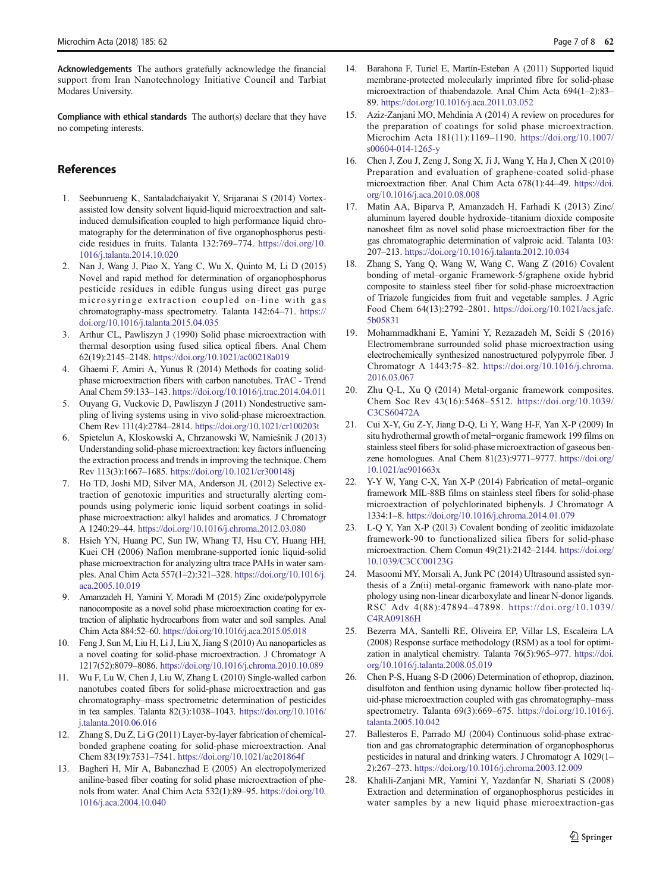<span id="page-6-0"></span>Acknowledgements The authors gratefully acknowledge the financial support from Iran Nanotechnology Initiative Council and Tarbiat Modares University.

Compliance with ethical standards The author(s) declare that they have no competing interests.

## References

- 1. Seebunrueng K, Santaladchaiyakit Y, Srijaranai S (2014) Vortexassisted low density solvent liquid-liquid microextraction and saltinduced demulsification coupled to high performance liquid chromatography for the determination of five organophosphorus pesticide residues in fruits. Talanta 132:769–774. [https://doi.org/10.](https://doi.org/10.1016/j.talanta.2014.10.020) [1016/j.talanta.2014.10.020](https://doi.org/10.1016/j.talanta.2014.10.020)
- 2. Nan J, Wang J, Piao X, Yang C, Wu X, Quinto M, Li D (2015) Novel and rapid method for determination of organophosphorus pesticide residues in edible fungus using direct gas purge microsyringe extraction coupled on-line with gas chromatography-mass spectrometry. Talanta 142:64–71. [https://](https://doi.org/10.1016/j.talanta.2015.04.035) [doi.org/10.1016/j.talanta.2015.04.035](https://doi.org/10.1016/j.talanta.2015.04.035)
- 3. Arthur CL, Pawliszyn J (1990) Solid phase microextraction with thermal desorption using fused silica optical fibers. Anal Chem 62(19):2145–2148. <https://doi.org/10.1021/ac00218a019>
- 4. Ghaemi F, Amiri A, Yunus R (2014) Methods for coating solidphase microextraction fibers with carbon nanotubes. TrAC - Trend Anal Chem 59:133–143. <https://doi.org/10.1016/j.trac.2014.04.011>
- 5. Ouyang G, Vuckovic D, Pawliszyn J (2011) Nondestructive sampling of living systems using in vivo solid-phase microextraction. Chem Rev 111(4):2784–2814. <https://doi.org/10.1021/cr100203t>
- 6. Spietelun A, Kloskowski A, Chrzanowski W, Namieśnik J (2013) Understanding solid-phase microextraction: key factors influencing the extraction process and trends in improving the technique. Chem Rev 113(3):1667–1685. <https://doi.org/10.1021/cr300148j>
- 7. Ho TD, Joshi MD, Silver MA, Anderson JL (2012) Selective extraction of genotoxic impurities and structurally alerting compounds using polymeric ionic liquid sorbent coatings in solidphase microextraction: alkyl halides and aromatics. J Chromatogr A 1240:29–44. <https://doi.org/10.1016/j.chroma.2012.03.080>
- 8. Hsieh YN, Huang PC, Sun IW, Whang TJ, Hsu CY, Huang HH, Kuei CH (2006) Nafion membrane-supported ionic liquid-solid phase microextraction for analyzing ultra trace PAHs in water samples. Anal Chim Acta 557(1–2):321–328. [https://doi.org/10.1016/j.](https://doi.org/10.1016/j.aca.2005.10.019) [aca.2005.10.019](https://doi.org/10.1016/j.aca.2005.10.019)
- 9. Amanzadeh H, Yamini Y, Moradi M (2015) Zinc oxide/polypyrrole nanocomposite as a novel solid phase microextraction coating for extraction of aliphatic hydrocarbons from water and soil samples. Anal Chim Acta 884:52–60. <https://doi.org/10.1016/j.aca.2015.05.018>
- 10. Feng J, Sun M, Liu H, Li J, Liu X, Jiang S (2010) Au nanoparticles as a novel coating for solid-phase microextraction. J Chromatogr A 1217(52):8079–8086. <https://doi.org/10.1016/j.chroma.2010.10.089>
- Wu F, Lu W, Chen J, Liu W, Zhang L (2010) Single-walled carbon nanotubes coated fibers for solid-phase microextraction and gas chromatography–mass spectrometric determination of pesticides in tea samples. Talanta 82(3):1038–1043. [https://doi.org/10.1016/](https://doi.org/10.1016/j.talanta.2010.06.016) [j.talanta.2010.06.016](https://doi.org/10.1016/j.talanta.2010.06.016)
- 12. Zhang S, Du Z, Li G (2011) Layer-by-layer fabrication of chemicalbonded graphene coating for solid-phase microextraction. Anal Chem 83(19):7531–7541. <https://doi.org/10.1021/ac201864f>
- 13. Bagheri H, Mir A, Babanezhad E (2005) An electropolymerized aniline-based fiber coating for solid phase microextraction of phenols from water. Anal Chim Acta 532(1):89–95. [https://doi.org/10.](https://doi.org/10.1016/j.aca.2004.10.040) [1016/j.aca.2004.10.040](https://doi.org/10.1016/j.aca.2004.10.040)
- 14. Barahona F, Turiel E, Martín-Esteban A (2011) Supported liquid membrane-protected molecularly imprinted fibre for solid-phase microextraction of thiabendazole. Anal Chim Acta 694(1–2):83– 89. <https://doi.org/10.1016/j.aca.2011.03.052>
- 15. Aziz-Zanjani MO, Mehdinia A (2014) A review on procedures for the preparation of coatings for solid phase microextraction. Microchim Acta 181(11):1169–1190. [https://doi.org/10.1007/](https://doi.org/10.1007/s00604-014-1265-y) [s00604-014-1265-y](https://doi.org/10.1007/s00604-014-1265-y)
- 16. Chen J, Zou J, Zeng J, Song X, Ji J, Wang Y, Ha J, Chen X (2010) Preparation and evaluation of graphene-coated solid-phase microextraction fiber. Anal Chim Acta 678(1):44–49. [https://doi.](https://doi.org/10.1016/j.aca.2010.08.008) [org/10.1016/j.aca.2010.08.008](https://doi.org/10.1016/j.aca.2010.08.008)
- 17. Matin AA, Biparva P, Amanzadeh H, Farhadi K (2013) Zinc/ aluminum layered double hydroxide–titanium dioxide composite nanosheet film as novel solid phase microextraction fiber for the gas chromatographic determination of valproic acid. Talanta 103: 207–213. <https://doi.org/10.1016/j.talanta.2012.10.034>
- Zhang S, Yang Q, Wang W, Wang C, Wang Z (2016) Covalent bonding of metal–organic Framework-5/graphene oxide hybrid composite to stainless steel fiber for solid-phase microextraction of Triazole fungicides from fruit and vegetable samples. J Agric Food Chem 64(13):2792–2801. [https://doi.org/10.1021/acs.jafc.](https://doi.org/10.1021/acs.jafc.5b05831) [5b05831](https://doi.org/10.1021/acs.jafc.5b05831)
- 19. Mohammadkhani E, Yamini Y, Rezazadeh M, Seidi S (2016) Electromembrane surrounded solid phase microextraction using electrochemically synthesized nanostructured polypyrrole fiber. J Chromatogr A 1443:75–82. [https://doi.org/10.1016/j.chroma.](https://doi.org/10.1016/j.chroma.2016.03.067) [2016.03.067](https://doi.org/10.1016/j.chroma.2016.03.067)
- 20. Zhu Q-L, Xu Q (2014) Metal-organic framework composites. Chem Soc Rev 43(16):5468–5512. [https://doi.org/10.1039/](https://doi.org/10.1039/C3CS60472A) [C3CS60472A](https://doi.org/10.1039/C3CS60472A)
- 21. Cui X-Y, Gu Z-Y, Jiang D-Q, Li Y, Wang H-F, Yan X-P (2009) In situ hydrothermal growth of metal−organic framework 199 films on stainless steel fibers for solid-phase microextraction of gaseous benzene homologues. Anal Chem 81(23):9771–9777. [https://doi.org/](https://doi.org/10.1021/ac901663x) [10.1021/ac901663x](https://doi.org/10.1021/ac901663x)
- 22. Y-Y W, Yang C-X, Yan X-P (2014) Fabrication of metal–organic framework MIL-88B films on stainless steel fibers for solid-phase microextraction of polychlorinated biphenyls. J Chromatogr A 1334:1–8. <https://doi.org/10.1016/j.chroma.2014.01.079>
- 23. L-Q Y, Yan X-P (2013) Covalent bonding of zeolitic imidazolate framework-90 to functionalized silica fibers for solid-phase microextraction. Chem Comun 49(21):2142–2144. [https://doi.org/](https://doi.org/10.1039/C3CC00123G) [10.1039/C3CC00123G](https://doi.org/10.1039/C3CC00123G)
- 24. Masoomi MY, Morsali A, Junk PC (2014) Ultrasound assisted synthesis of a Zn(ii) metal-organic framework with nano-plate morphology using non-linear dicarboxylate and linear N-donor ligands. RSC Adv 4(88):47894–47898. [https://doi.org/10.1039/](https://doi.org/10.1039/C4RA09186H) [C4RA09186H](https://doi.org/10.1039/C4RA09186H)
- 25. Bezerra MA, Santelli RE, Oliveira EP, Villar LS, Escaleira LA (2008) Response surface methodology (RSM) as a tool for optimization in analytical chemistry. Talanta 76(5):965–977. [https://doi.](https://doi.org/10.1016/j.talanta.2008.05.019) [org/10.1016/j.talanta.2008.05.019](https://doi.org/10.1016/j.talanta.2008.05.019)
- 26. Chen P-S, Huang S-D (2006) Determination of ethoprop, diazinon, disulfoton and fenthion using dynamic hollow fiber-protected liquid-phase microextraction coupled with gas chromatography–mass spectrometry. Talanta 69(3):669–675. [https://doi.org/10.1016/j.](https://doi.org/10.1016/j.talanta.2005.10.042) [talanta.2005.10.042](https://doi.org/10.1016/j.talanta.2005.10.042)
- 27. Ballesteros E, Parrado MJ (2004) Continuous solid-phase extraction and gas chromatographic determination of organophosphorus pesticides in natural and drinking waters. J Chromatogr A 1029(1– 2):267–273. <https://doi.org/10.1016/j.chroma.2003.12.009>
- 28. Khalili-Zanjani MR, Yamini Y, Yazdanfar N, Shariati S (2008) Extraction and determination of organophosphorus pesticides in water samples by a new liquid phase microextraction-gas